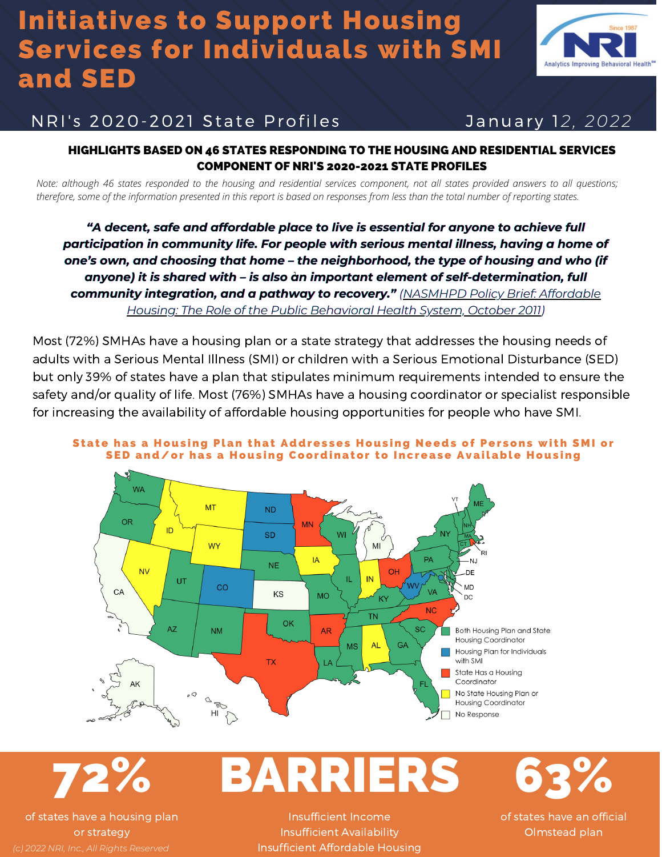# Initiatives to Support Housing Services for Individuals with SMI and SED



## NRI' s 2020-2021 State Profi les Januar y 1*2, 2022*

#### HIGHLIGHTS BASED ON 46 STATES RESPONDING TO THE HOUSING AND RESIDENTIAL SERVICES COMPONENT OF NRI'S 2020-2021 STATE PROFILES

*Note: although 46 states responded to the housing and residential services component, not all states provided answers to all questions; therefore, some of the information presented in this report is based on responses from less than the total number of reporting states.*

*"A decent, safe and affordable place to live is essential for anyone to achieve full participation in community life. For people with serious mental illness, having a home of one's own, and choosing that home – the neighborhood, the type of housing and who (if anyone) it is shared with – is also an important element of self-determination, full* 1 *community [integration,](https://www.nasmhpd.org/sites/default/files/NASMHPDHousingPolicy_FINAL2011.pdf) and a pathway to recovery." (NASMHPD Policy Brief: Affordable Housing: The Role of the Public Behavioral Health System, October 2011)*

Most (72%) SMHAs have a [housing](https://nri-inc.org/umbraco/api/profiles/download?key=21c393b9-2775-4c0b-8a79-f1ed36bc197a) plan or a state strategy that addresses the housing needs of adults with a Serious Mental Illness (SMI) or children with a Serious Emotional Disturbance (SED) but only 39% of states have a plan that stipulates minimum requirements intended to ensure the safety and/or quality of life. Most (76%) SMHAs have a housing [coordinator](https://nri-inc.org/umbraco/api/profiles/download?key=f5387cfa-e6a1-4712-be4a-6a8fb0a36b67) or specialist responsible for increasing the availability of affordable housing opportunities for people who have SMI.



#### [State](https://nri-inc.org/umbraco/api/profiles/download?key=21c393b9-2775-4c0b-8a79-f1ed36bc197a) has a Housing Plan that Addresses Housing Needs of Persons with SMI or SED and/or has a Housing [Coordinator](https://nri-inc.org/umbraco/api/profiles/download?key=f5387cfa-e6a1-4712-be4a-6a8fb0a36b67) to Increase Available Housing

72%

of states have a housing plan or strategy *(c) 2022 NRI, Inc., All Rights Reserved*

Insufficient Income Insufficient Availability Insufficient Affordable Housing

BARRIERS

100 m 63%

of states have an official Olmstead plan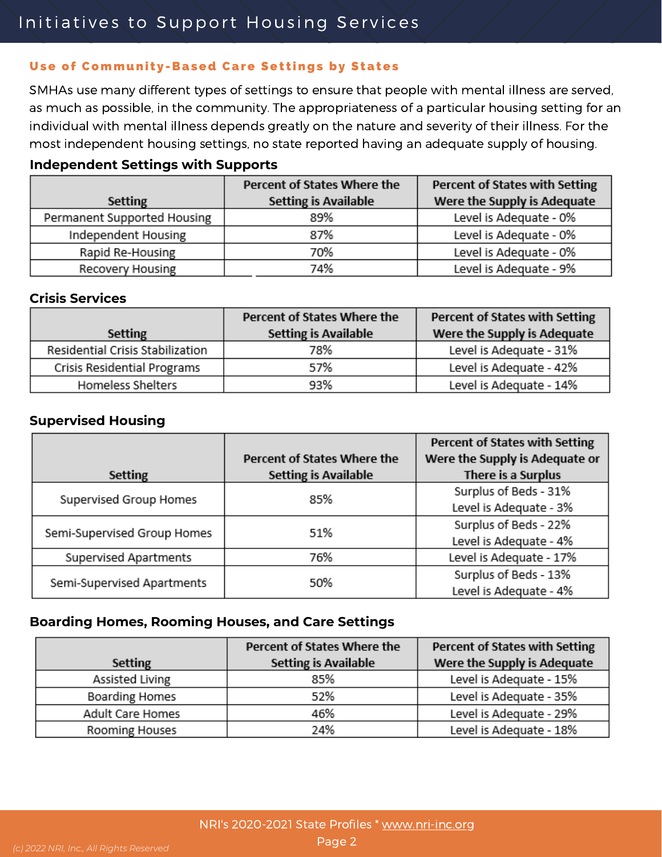# Initiatives to Support Housing Services

#### Use of [Communi](https://nri-inc.org/umbraco/api/profiles/download?key=42a83bf3-0cfc-4314-8d8f-ded15189ab52)ty-Based Care Settings by States

SMHAs use many different types of settings to ensure that people with mental illness are served, as much as possible, in the community. The appropriateness of a particular housing setting for an individual with mental illness depends greatly on the nature and severity of their illness. For the most independent housing settings, no state reported having an adequate supply of housing.

#### **Independent Settings with Supports**

| <b>Setting</b>              | Percent of States Where the<br><b>Setting is Available</b> | <b>Percent of States with Setting</b><br>Were the Supply is Adequate |
|-----------------------------|------------------------------------------------------------|----------------------------------------------------------------------|
| Permanent Supported Housing | 89%                                                        | Level is Adequate - 0%                                               |
| Independent Housing         | 87%                                                        | Level is Adequate - 0%                                               |
| Rapid Re-Housing            | 70%                                                        | Level is Adequate - 0%                                               |
| Recovery Housing            | 74%                                                        | Level is Adequate - 9%                                               |

#### **Crisis Services**

|                                  | Percent of States Where the | <b>Percent of States with Setting</b> |
|----------------------------------|-----------------------------|---------------------------------------|
| <b>Setting</b>                   | <b>Setting is Available</b> | Were the Supply is Adequate           |
| Residential Crisis Stabilization | 78%                         | Level is Adequate - 31%               |
| Crisis Residential Programs      | 57%                         | Level is Adequate - 42%               |
| Homeless Shelters                | 93%                         | Level is Adequate - 14%               |

#### **Supervised Housing**

|                             |                             | <b>Percent of States with Setting</b> |
|-----------------------------|-----------------------------|---------------------------------------|
|                             | Percent of States Where the | Were the Supply is Adequate or        |
| <b>Setting</b>              | <b>Setting is Available</b> | There is a Surplus                    |
| Supervised Group Homes      | 85%                         | Surplus of Beds - 31%                 |
|                             |                             | Level is Adequate - 3%                |
| Semi-Supervised Group Homes | 51%                         | Surplus of Beds - 22%                 |
|                             |                             | Level is Adequate - 4%                |
| Supervised Apartments       | 76%                         | Level is Adequate - 17%               |
| Semi-Supervised Apartments  | 50%                         | Surplus of Beds - 13%                 |
|                             |                             | Level is Adequate - 4%                |

#### **Boarding Homes, Rooming Houses, and Care Settings**

|                       | Percent of States Where the | <b>Percent of States with Setting</b> |
|-----------------------|-----------------------------|---------------------------------------|
| <b>Setting</b>        | <b>Setting is Available</b> | Were the Supply is Adequate           |
| Assisted Living       | 85%                         | Level is Adequate - 15%               |
| <b>Boarding Homes</b> | 52%                         | Level is Adequate - 35%               |
| Adult Care Homes      | 46%                         | Level is Adequate - 29%               |
| Rooming Houses        | 24%                         | Level is Adequate - 18%               |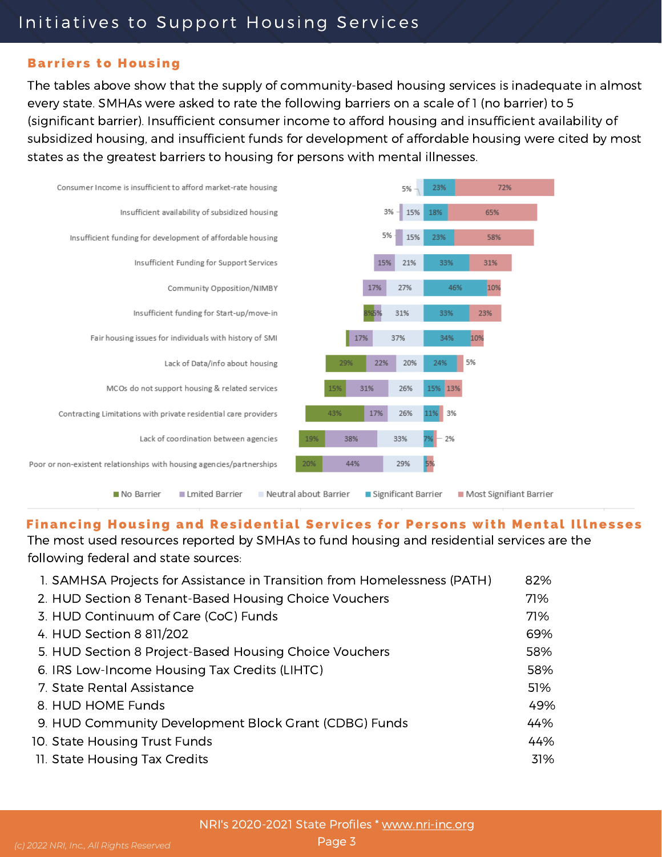#### **Barriers to Housing**

The tables above show that the supply of community-based housing services is inadequate in almost every state. SMHAs were asked to rate the following barriers on a scale of 1 (no barrier) to 5 (significant barrier). Insufficient consumer income to afford housing and insufficient availability of subsidized housing, and insufficient funds for development of affordable housing were cited by most states as the greatest barriers to housing for persons with mental illnesses.



#### Financing Housing and Residential Services for Persons with Mental Illnesses

The most used resources reported by SMHAs to fund housing and residential services are the following federal and state sources:

| 1. SAMHSA Projects for Assistance in Transition from Homelessness (PATH) | 82% |
|--------------------------------------------------------------------------|-----|
| 2. HUD Section 8 Tenant-Based Housing Choice Vouchers                    | 71% |
| 3. HUD Continuum of Care (CoC) Funds                                     | 71% |
| 4. HUD Section 8 811/202                                                 | 69% |
| 5. HUD Section 8 Project-Based Housing Choice Vouchers                   | 58% |
| 6. IRS Low-Income Housing Tax Credits (LIHTC)                            | 58% |
| 7. State Rental Assistance                                               | 51% |
| 8. HUD HOME Funds                                                        | 49% |
| 9. HUD Community Development Block Grant (CDBG) Funds                    | 44% |
| 10. State Housing Trust Funds                                            | 44% |
| 11. State Housing Tax Credits                                            | 31% |
|                                                                          |     |